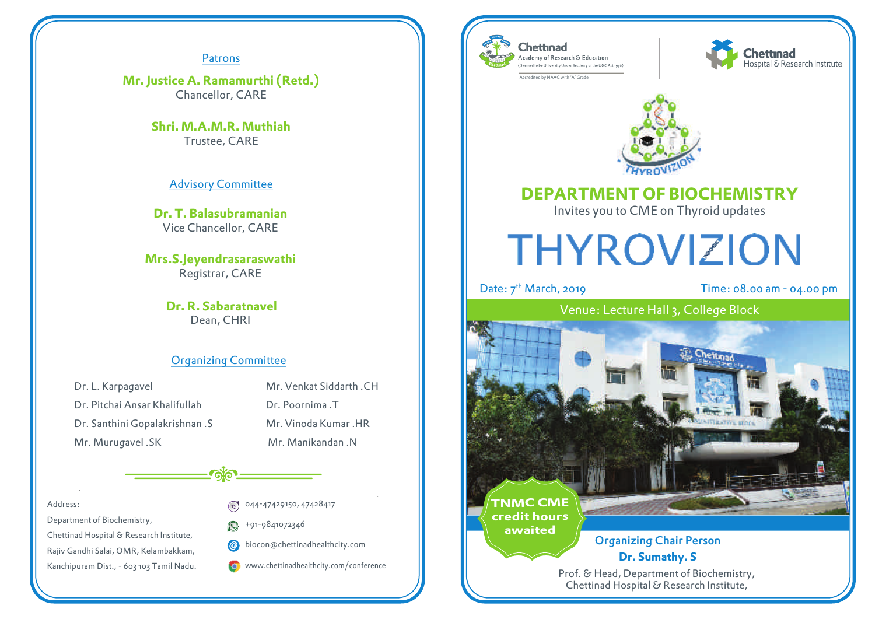#### Patrons

**Mr. Justice A. Ramamurthi (Retd.)** Chancellor, CARE

> **Shri. M.A.M.R. Muthiah** Trustee, CARE

> > Advisory Committee

**Dr. T. Balasubramanian** Vice Chancellor, CARE

**Mrs.S.Jeyendrasaraswathi** Registrar, CARE

> **Dr. R. Sabaratnavel** Dean, CHRI

#### Organizing Committee

Dr. L. Karpagavel Dr. Pitchai Ansar Khalifullah Dr. Santhini Gopalakrishnan .S Mr. Murugavel .SK

Mr. Venkat Siddarth, CH Dr. Poornima T. Mr. Vinoda Kumar, HR. Mr. Manikandan .N

Address:

Department of Biochemistry, Chettinad Hospital & Research Institute, Rajiv Gandhi Salai, OMR, Kelambakkam, Kanchipuram Dist., - 603 103 Tamil Nadu.

- 044-47429150, 47428417
- +91-9841072346  $\Omega$
- biocon@chettinadhealthcity.com @

www.chettinadhealthcity.com/conference



Accredited by NAAC with 'A' Grade





## **DEPARTMENT OF BIOCHEMISTRY**

Invites you to CME on Thyroid updates

# **THYROVIZION**

Date:  $7<sup>th</sup> March, 2019$  Time: 08.00 am - 04.00 pm

## Venue: Lecture Hall 3, College Block